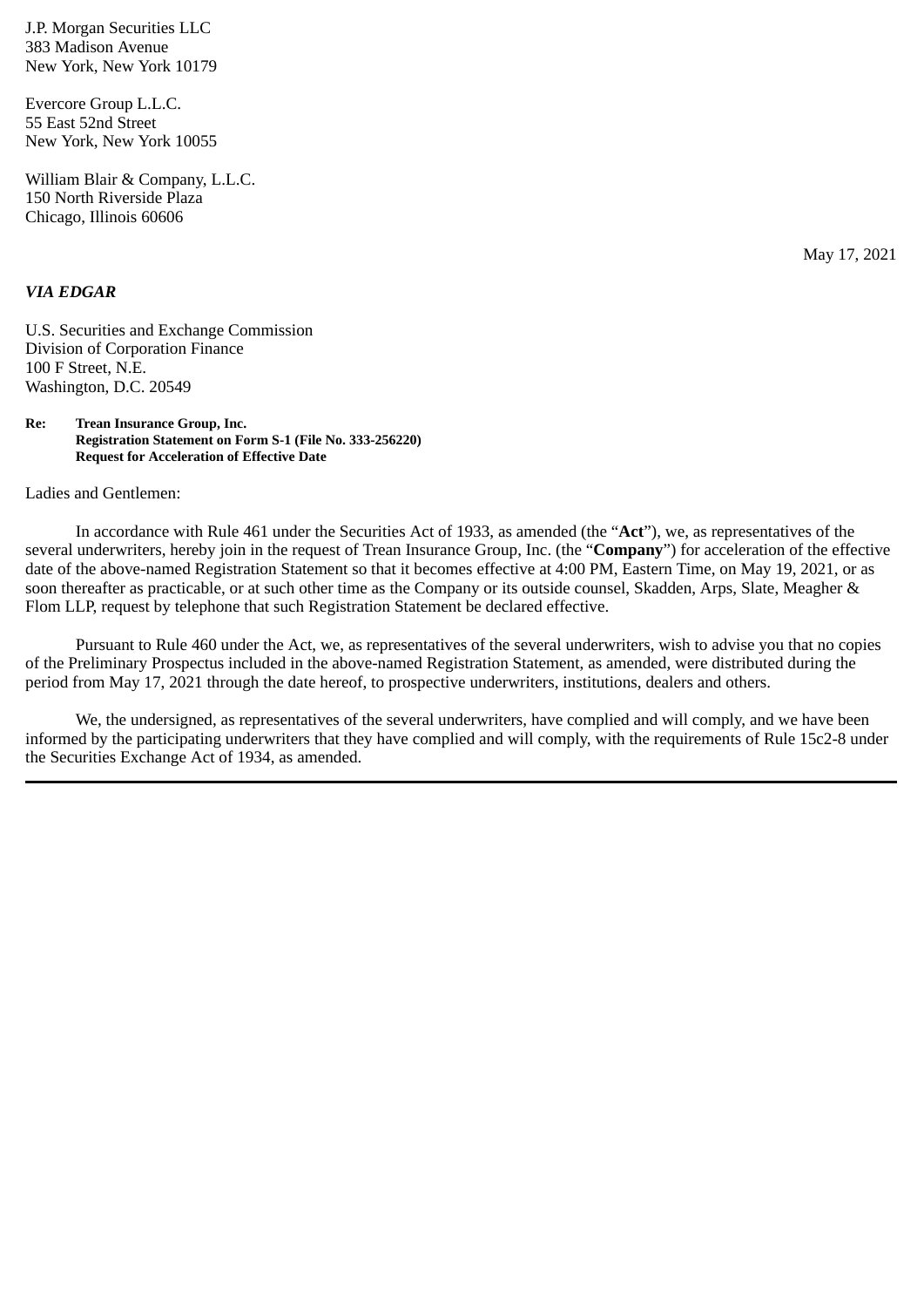J.P. Morgan Securities LLC 383 Madison Avenue New York, New York 10179

Evercore Group L.L.C. 55 East 52nd Street New York, New York 10055

William Blair & Company, L.L.C. 150 North Riverside Plaza Chicago, Illinois 60606

May 17, 2021

## *VIA EDGAR*

U.S. Securities and Exchange Commission Division of Corporation Finance 100 F Street, N.E. Washington, D.C. 20549

**Re: Trean Insurance Group, Inc. Registration Statement on Form S-1 (File No. 333-256220) Request for Acceleration of Effective Date**

Ladies and Gentlemen:

In accordance with Rule 461 under the Securities Act of 1933, as amended (the "**Act**"), we, as representatives of the several underwriters, hereby join in the request of Trean Insurance Group, Inc. (the "**Company**") for acceleration of the effective date of the above-named Registration Statement so that it becomes effective at 4:00 PM, Eastern Time, on May 19, 2021, or as soon thereafter as practicable, or at such other time as the Company or its outside counsel, Skadden, Arps, Slate, Meagher & Flom LLP, request by telephone that such Registration Statement be declared effective.

Pursuant to Rule 460 under the Act, we, as representatives of the several underwriters, wish to advise you that no copies of the Preliminary Prospectus included in the above-named Registration Statement, as amended, were distributed during the period from May 17, 2021 through the date hereof, to prospective underwriters, institutions, dealers and others.

We, the undersigned, as representatives of the several underwriters, have complied and will comply, and we have been informed by the participating underwriters that they have complied and will comply, with the requirements of Rule 15c2-8 under the Securities Exchange Act of 1934, as amended.